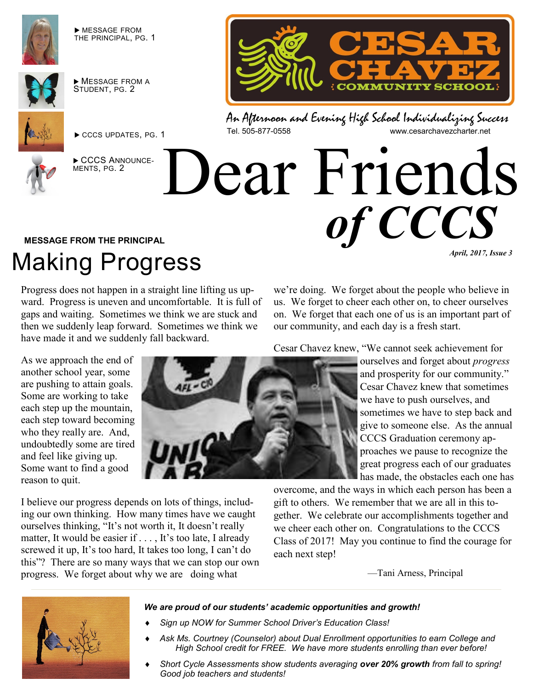

 MESSAGE FROM THE PRINCIPAL, PG. 1



 $\blacktriangleright$  MESSAGE FROM A STUDENT, PG. 2



CCCS UPDATES, PG. 1



CCCS ANNOUNCE-MENTS, PG. 2



An Afternoon and Evening High School Individualizing Success www.cesarchavezcharter.net

# Dear Friends *of CCCS*

# **MESSAGE FROM THE PRINCIPAL**

# Making Progress

Progress does not happen in a straight line lifting us upward. Progress is uneven and uncomfortable. It is full of gaps and waiting. Sometimes we think we are stuck and then we suddenly leap forward. Sometimes we think we have made it and we suddenly fall backward.

As we approach the end of another school year, some are pushing to attain goals. Some are working to take each step up the mountain, each step toward becoming who they really are. And, undoubtedly some are tired and feel like giving up. Some want to find a good reason to quit.



I believe our progress depends on lots of things, including our own thinking. How many times have we caught ourselves thinking, "It's not worth it, It doesn't really matter, It would be easier if ..., It's too late, I already screwed it up, It's too hard, It takes too long, I can't do this"? There are so many ways that we can stop our own progress. We forget about why we are doing what

*April, 2017, Issue 3* 

we're doing. We forget about the people who believe in us. We forget to cheer each other on, to cheer ourselves on. We forget that each one of us is an important part of our community, and each day is a fresh start.

Cesar Chavez knew, "We cannot seek achievement for

ourselves and forget about *progress* and prosperity for our community." Cesar Chavez knew that sometimes we have to push ourselves, and sometimes we have to step back and give to someone else. As the annual CCCS Graduation ceremony approaches we pause to recognize the great progress each of our graduates has made, the obstacles each one has

overcome, and the ways in which each person has been a gift to others. We remember that we are all in this together. We celebrate our accomplishments together and we cheer each other on. Congratulations to the CCCS Class of 2017! May you continue to find the courage for each next step!

—Tani Arness, Principal



#### *We are proud of our students' academic opportunities and growth!*

- *Sign up NOW for Summer School Driver's Education Class!*
- *Ask Ms. Courtney (Counselor) about Dual Enrollment opportunities to earn College and High School credit for FREE. We have more students enrolling than ever before!*
- *Short Cycle Assessments show students averaging over 20% growth from fall to spring! Good job teachers and students!*